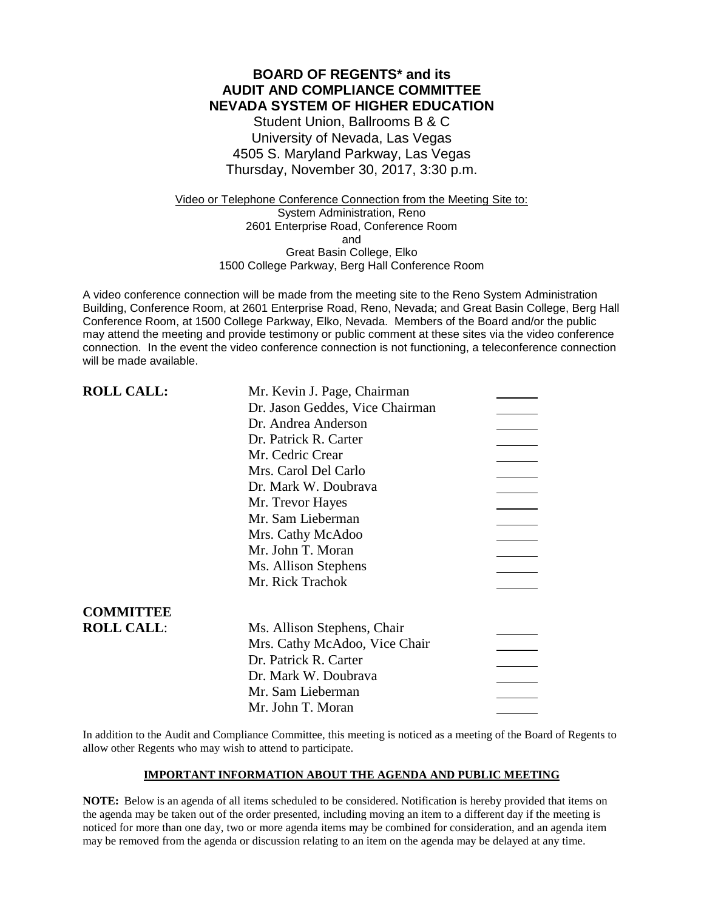### **BOARD OF REGENTS\* and its AUDIT AND COMPLIANCE COMMITTEE NEVADA SYSTEM OF HIGHER EDUCATION**

Student Union, Ballrooms B & C University of Nevada, Las Vegas 4505 S. Maryland Parkway, Las Vegas Thursday, November 30, 2017, 3:30 p.m.

Video or Telephone Conference Connection from the Meeting Site to: System Administration, Reno 2601 Enterprise Road, Conference Room and Great Basin College, Elko 1500 College Parkway, Berg Hall Conference Room

A video conference connection will be made from the meeting site to the Reno System Administration Building, Conference Room, at 2601 Enterprise Road, Reno, Nevada; and Great Basin College, Berg Hall Conference Room, at 1500 College Parkway, Elko, Nevada. Members of the Board and/or the public may attend the meeting and provide testimony or public comment at these sites via the video conference connection. In the event the video conference connection is not functioning, a teleconference connection will be made available.

| <b>ROLL CALL:</b> | Mr. Kevin J. Page, Chairman     |  |
|-------------------|---------------------------------|--|
|                   | Dr. Jason Geddes, Vice Chairman |  |
|                   | Dr. Andrea Anderson             |  |
|                   | Dr. Patrick R. Carter           |  |
|                   | Mr. Cedric Crear                |  |
|                   | Mrs. Carol Del Carlo            |  |
|                   | Dr. Mark W. Doubrava            |  |
|                   | Mr. Trevor Hayes                |  |
|                   | Mr. Sam Lieberman               |  |
|                   | Mrs. Cathy McAdoo               |  |
|                   | Mr. John T. Moran               |  |
|                   | Ms. Allison Stephens            |  |
|                   | Mr. Rick Trachok                |  |
| <b>COMMITTEE</b>  |                                 |  |
| <b>ROLL CALL:</b> | Ms. Allison Stephens, Chair     |  |
|                   | Mrs. Cathy McAdoo, Vice Chair   |  |
|                   | Dr. Patrick R. Carter           |  |
|                   | Dr. Mark W. Doubrava            |  |
|                   | Mr. Sam Lieberman               |  |
|                   | Mr. John T. Moran               |  |

In addition to the Audit and Compliance Committee, this meeting is noticed as a meeting of the Board of Regents to allow other Regents who may wish to attend to participate.

### **IMPORTANT INFORMATION ABOUT THE AGENDA AND PUBLIC MEETING**

**NOTE:** Below is an agenda of all items scheduled to be considered. Notification is hereby provided that items on the agenda may be taken out of the order presented, including moving an item to a different day if the meeting is noticed for more than one day, two or more agenda items may be combined for consideration, and an agenda item may be removed from the agenda or discussion relating to an item on the agenda may be delayed at any time.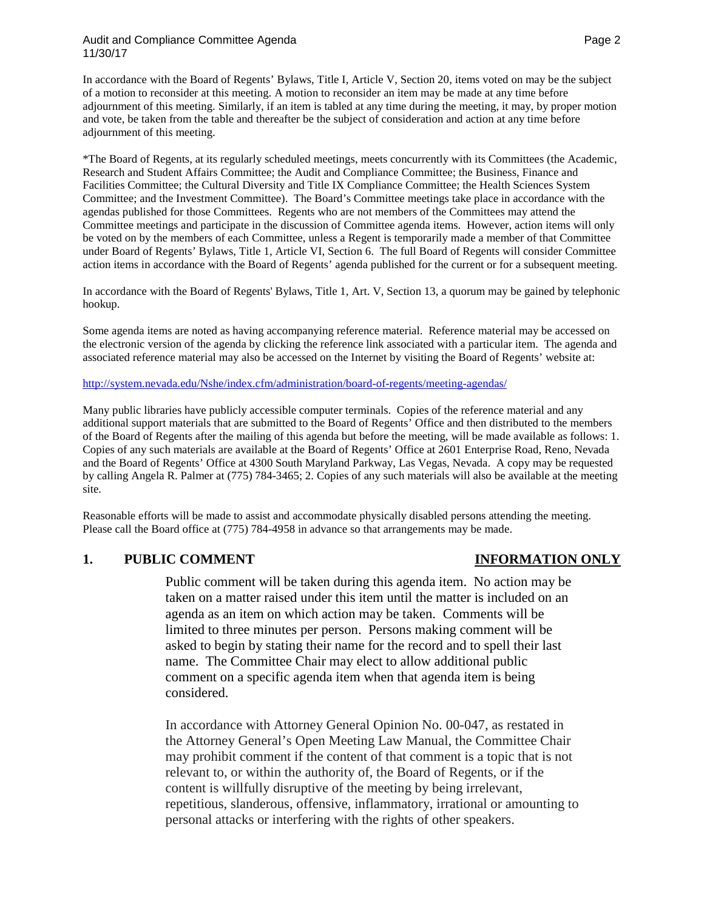### Audit and Compliance Committee Agenda **Page 2** and 2 11/30/17

In accordance with the Board of Regents' Bylaws, Title I, Article V, Section 20, items voted on may be the subject of a motion to reconsider at this meeting. A motion to reconsider an item may be made at any time before adjournment of this meeting. Similarly, if an item is tabled at any time during the meeting, it may, by proper motion and vote, be taken from the table and thereafter be the subject of consideration and action at any time before adjournment of this meeting.

\*The Board of Regents, at its regularly scheduled meetings, meets concurrently with its Committees (the Academic, Research and Student Affairs Committee; the Audit and Compliance Committee; the Business, Finance and Facilities Committee; the Cultural Diversity and Title IX Compliance Committee; the Health Sciences System Committee; and the Investment Committee). The Board's Committee meetings take place in accordance with the agendas published for those Committees. Regents who are not members of the Committees may attend the Committee meetings and participate in the discussion of Committee agenda items. However, action items will only be voted on by the members of each Committee, unless a Regent is temporarily made a member of that Committee under Board of Regents' Bylaws, Title 1, Article VI, Section 6. The full Board of Regents will consider Committee action items in accordance with the Board of Regents' agenda published for the current or for a subsequent meeting.

In accordance with the Board of Regents' Bylaws, Title 1, Art. V, Section 13, a quorum may be gained by telephonic hookup.

Some agenda items are noted as having accompanying reference material. Reference material may be accessed on the electronic version of the agenda by clicking the reference link associated with a particular item. The agenda and associated reference material may also be accessed on the Internet by visiting the Board of Regents' website at:

### <http://system.nevada.edu/Nshe/index.cfm/administration/board-of-regents/meeting-agendas/>

Many public libraries have publicly accessible computer terminals. Copies of the reference material and any additional support materials that are submitted to the Board of Regents' Office and then distributed to the members of the Board of Regents after the mailing of this agenda but before the meeting, will be made available as follows: 1. Copies of any such materials are available at the Board of Regents' Office at 2601 Enterprise Road, Reno, Nevada and the Board of Regents' Office at 4300 South Maryland Parkway, Las Vegas, Nevada. A copy may be requested by calling Angela R. Palmer at (775) 784-3465; 2. Copies of any such materials will also be available at the meeting site.

Reasonable efforts will be made to assist and accommodate physically disabled persons attending the meeting. Please call the Board office at (775) 784-4958 in advance so that arrangements may be made.

### **1. PUBLIC COMMENT INFORMATION ONLY**

Public comment will be taken during this agenda item. No action may be taken on a matter raised under this item until the matter is included on an agenda as an item on which action may be taken. Comments will be limited to three minutes per person. Persons making comment will be asked to begin by stating their name for the record and to spell their last name. The Committee Chair may elect to allow additional public comment on a specific agenda item when that agenda item is being considered.

In accordance with Attorney General Opinion No. 00-047, as restated in the Attorney General's Open Meeting Law Manual, the Committee Chair may prohibit comment if the content of that comment is a topic that is not relevant to, or within the authority of, the Board of Regents, or if the content is willfully disruptive of the meeting by being irrelevant, repetitious, slanderous, offensive, inflammatory, irrational or amounting to personal attacks or interfering with the rights of other speakers.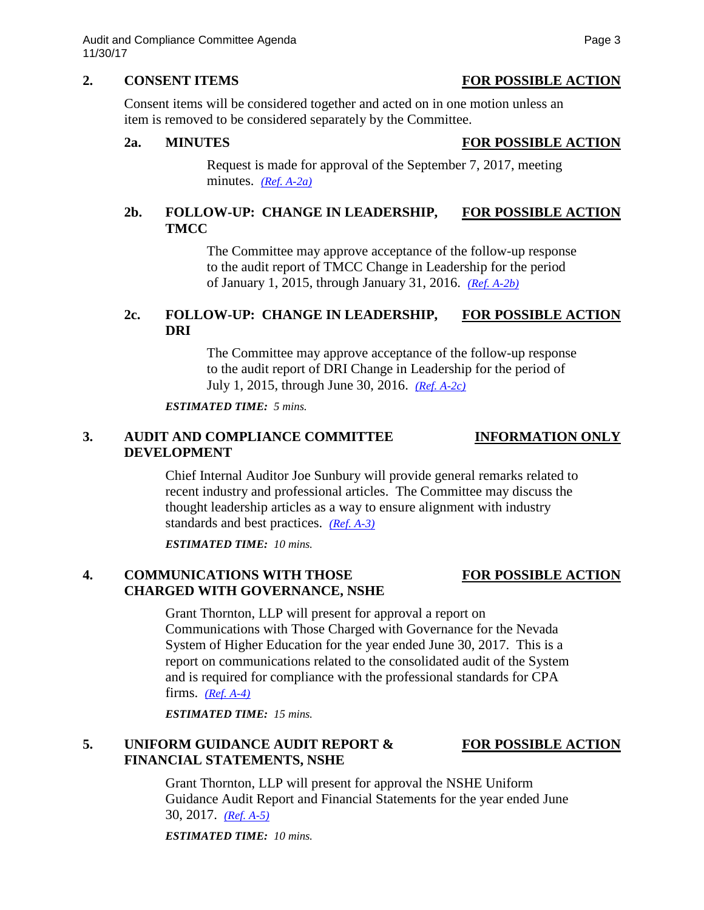### **2. CONSENT ITEMS FOR POSSIBLE ACTION**

Consent items will be considered together and acted on in one motion unless an item is removed to be considered separately by the Committee.

# **2a. MINUTES FOR POSSIBLE ACTION**

Request is made for approval of the September 7, 2017, meeting minutes. *[\(Ref. A-2a\)](https://nshe.nevada.edu/wp-content/uploads/file/BoardOfRegents/Agendas/2017/nov-mtgs/audit-ref/A-2a.pdf)*

# **2b. FOLLOW-UP: CHANGE IN LEADERSHIP, FOR POSSIBLE ACTION TMCC**

The Committee may approve acceptance of the follow-up response to the audit report of TMCC Change in Leadership for the period of January 1, 2015, through January 31, 2016. *[\(Ref. A-2b\)](https://nshe.nevada.edu/wp-content/uploads/file/BoardOfRegents/Agendas/2017/nov-mtgs/audit-ref/A-2b.pdf)*

# **2c. FOLLOW-UP: CHANGE IN LEADERSHIP, FOR POSSIBLE ACTION DRI**

The Committee may approve acceptance of the follow-up response to the audit report of DRI Change in Leadership for the period of July 1, 2015, through June 30, 2016. *[\(Ref. A-2c\)](https://nshe.nevada.edu/wp-content/uploads/file/BoardOfRegents/Agendas/2017/nov-mtgs/audit-ref/A-2c.pdf)*

*ESTIMATED TIME: 5 mins.*

# **3. AUDIT AND COMPLIANCE COMMITTEE INFORMATION ONLY DEVELOPMENT**

Chief Internal Auditor Joe Sunbury will provide general remarks related to recent industry and professional articles. The Committee may discuss the thought leadership articles as a way to ensure alignment with industry standards and best practices. *[\(Ref. A-3\)](https://nshe.nevada.edu/wp-content/uploads/file/BoardOfRegents/Agendas/2017/nov-mtgs/audit-ref/A-3.pdf)*

*ESTIMATED TIME: 10 mins.*

# **4. COMMUNICATIONS WITH THOSE FOR POSSIBLE ACTION CHARGED WITH GOVERNANCE, NSHE**

## Grant Thornton, LLP will present for approval a report on Communications with Those Charged with Governance for the Nevada System of Higher Education for the year ended June 30, 2017. This is a report on communications related to the consolidated audit of the System and is required for compliance with the professional standards for CPA firms. *[\(Ref. A-4\)](https://nshe.nevada.edu/wp-content/uploads/file/BoardOfRegents/Agendas/2017/nov-mtgs/audit-ref/A-4.pdf)*

*ESTIMATED TIME: 15 mins.*

# **5. UNIFORM GUIDANCE AUDIT REPORT & FOR POSSIBLE ACTION FINANCIAL STATEMENTS, NSHE**

Grant Thornton, LLP will present for approval the NSHE Uniform Guidance Audit Report and Financial Statements for the year ended June 30, 2017. *[\(Ref. A-5\)](https://nshe.nevada.edu/wp-content/uploads/file/BoardOfRegents/Agendas/2017/nov-mtgs/audit-ref/A-5.pdf)*

*ESTIMATED TIME: 10 mins.*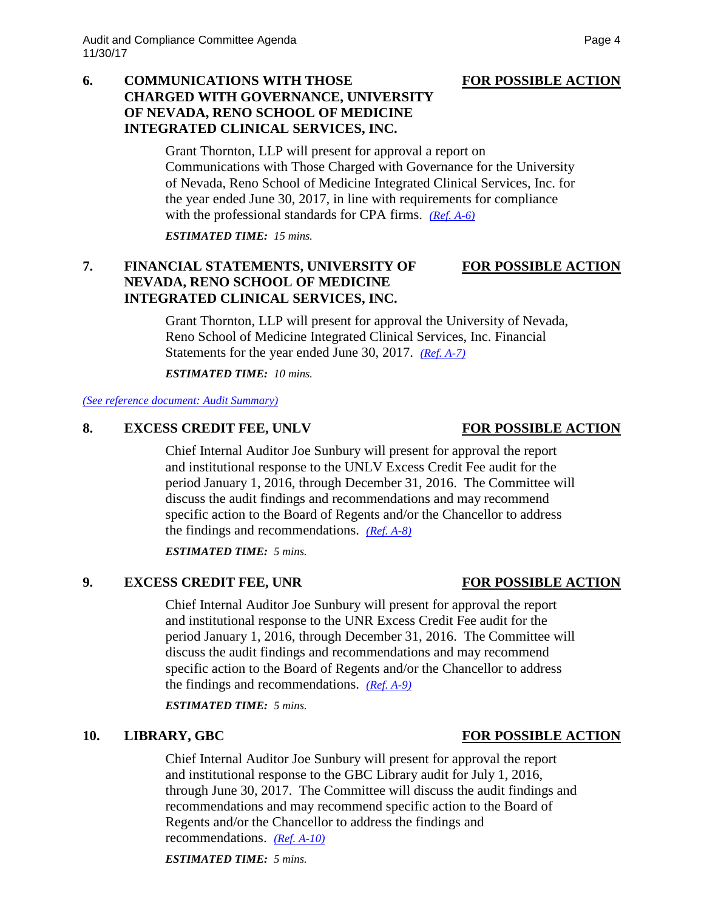## **6. COMMUNICATIONS WITH THOSE FOR POSSIBLE ACTION CHARGED WITH GOVERNANCE, UNIVERSITY OF NEVADA, RENO SCHOOL OF MEDICINE INTEGRATED CLINICAL SERVICES, INC.**

Grant Thornton, LLP will present for approval a report on Communications with Those Charged with Governance for the University of Nevada, Reno School of Medicine Integrated Clinical Services, Inc. for the year ended June 30, 2017, in line with requirements for compliance with the professional standards for CPA firms. *[\(Ref. A-6\)](https://nshe.nevada.edu/wp-content/uploads/file/BoardOfRegents/Agendas/2017/nov-mtgs/audit-ref/A-6.pdf)*

*ESTIMATED TIME: 15 mins.*

# **7. FINANCIAL STATEMENTS, UNIVERSITY OF FOR POSSIBLE ACTION NEVADA, RENO SCHOOL OF MEDICINE INTEGRATED CLINICAL SERVICES, INC.**

Grant Thornton, LLP will present for approval the University of Nevada, Reno School of Medicine Integrated Clinical Services, Inc. Financial Statements for the year ended June 30, 2017. *[\(Ref. A-7\)](https://nshe.nevada.edu/wp-content/uploads/file/BoardOfRegents/Agendas/2017/nov-mtgs/audit-ref/A-7.pdf)*

*ESTIMATED TIME: 10 mins.*

*[\(See reference document: Audit Summary\)](https://nshe.nevada.edu/wp-content/uploads/file/BoardOfRegents/Agendas/2017/nov-mtgs/audit-ref/Audit%20Summary.pdf)*

## **8. EXCESS CREDIT FEE, UNLV FOR POSSIBLE ACTION**

Chief Internal Auditor Joe Sunbury will present for approval the report and institutional response to the UNLV Excess Credit Fee audit for the period January 1, 2016, through December 31, 2016. The Committee will discuss the audit findings and recommendations and may recommend specific action to the Board of Regents and/or the Chancellor to address the findings and recommendations. *[\(Ref. A-8\)](https://nshe.nevada.edu/wp-content/uploads/file/BoardOfRegents/Agendas/2017/nov-mtgs/audit-ref/A-8.pdf)*

*ESTIMATED TIME: 5 mins.*

# **9. EXCESS CREDIT FEE, UNR FOR POSSIBLE ACTION**

Chief Internal Auditor Joe Sunbury will present for approval the report and institutional response to the UNR Excess Credit Fee audit for the period January 1, 2016, through December 31, 2016. The Committee will discuss the audit findings and recommendations and may recommend specific action to the Board of Regents and/or the Chancellor to address the findings and recommendations. *[\(Ref. A-9\)](https://nshe.nevada.edu/wp-content/uploads/file/BoardOfRegents/Agendas/2017/nov-mtgs/audit-ref/A-9.pdf)*

*ESTIMATED TIME: 5 mins.*

### **10. LIBRARY, GBC FOR POSSIBLE ACTION**

Chief Internal Auditor Joe Sunbury will present for approval the report and institutional response to the GBC Library audit for July 1, 2016, through June 30, 2017. The Committee will discuss the audit findings and recommendations and may recommend specific action to the Board of Regents and/or the Chancellor to address the findings and recommendations. *[\(Ref. A-10\)](https://nshe.nevada.edu/wp-content/uploads/file/BoardOfRegents/Agendas/2017/nov-mtgs/audit-ref/A-10.pdf)*

*ESTIMATED TIME: 5 mins.*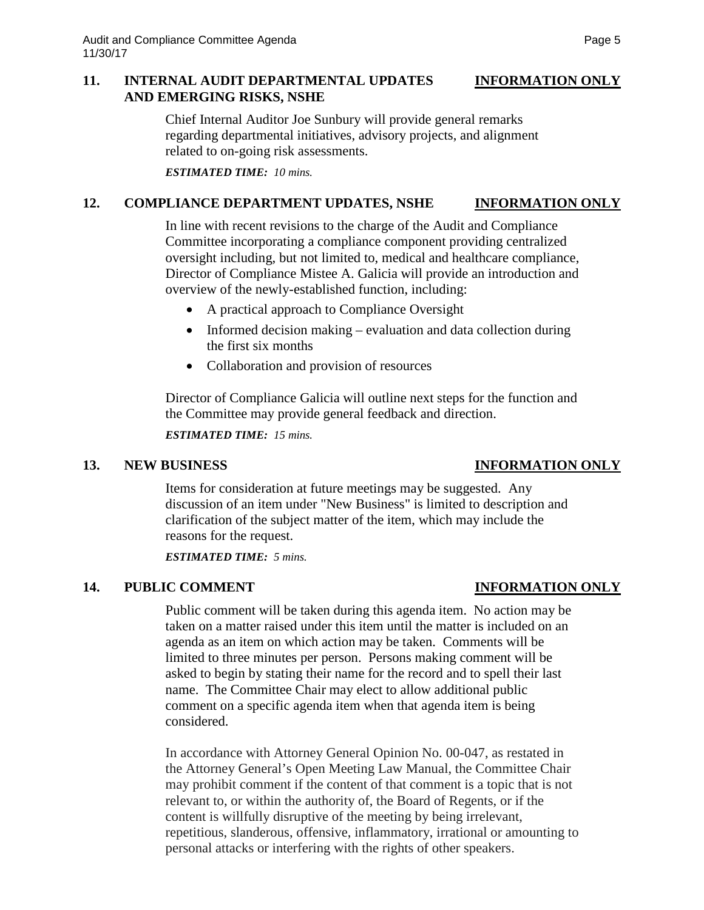### **11. INTERNAL AUDIT DEPARTMENTAL UPDATES INFORMATION ONLY AND EMERGING RISKS, NSHE**

Chief Internal Auditor Joe Sunbury will provide general remarks regarding departmental initiatives, advisory projects, and alignment related to on-going risk assessments.

*ESTIMATED TIME: 10 mins.*

## **12. COMPLIANCE DEPARTMENT UPDATES, NSHE INFORMATION ONLY**

In line with recent revisions to the charge of the Audit and Compliance Committee incorporating a compliance component providing centralized oversight including, but not limited to, medical and healthcare compliance, Director of Compliance Mistee A. Galicia will provide an introduction and overview of the newly-established function, including:

- A practical approach to Compliance Oversight
- Informed decision making evaluation and data collection during the first six months
- Collaboration and provision of resources

Director of Compliance Galicia will outline next steps for the function and the Committee may provide general feedback and direction.

*ESTIMATED TIME: 15 mins.*

### **13. NEW BUSINESS INFORMATION ONLY**

Items for consideration at future meetings may be suggested. Any discussion of an item under "New Business" is limited to description and clarification of the subject matter of the item, which may include the reasons for the request.

*ESTIMATED TIME: 5 mins.*

## **14. PUBLIC COMMENT INFORMATION ONLY**

Public comment will be taken during this agenda item. No action may be taken on a matter raised under this item until the matter is included on an agenda as an item on which action may be taken. Comments will be limited to three minutes per person. Persons making comment will be asked to begin by stating their name for the record and to spell their last name. The Committee Chair may elect to allow additional public comment on a specific agenda item when that agenda item is being considered.

In accordance with Attorney General Opinion No. 00-047, as restated in the Attorney General's Open Meeting Law Manual, the Committee Chair may prohibit comment if the content of that comment is a topic that is not relevant to, or within the authority of, the Board of Regents, or if the content is willfully disruptive of the meeting by being irrelevant, repetitious, slanderous, offensive, inflammatory, irrational or amounting to personal attacks or interfering with the rights of other speakers.